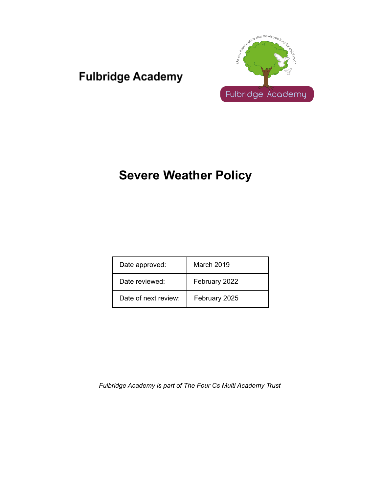## **Fulbridge Academy**



## **Severe Weather Policy**

| Date approved:       | March 2019    |
|----------------------|---------------|
| Date reviewed:       | February 2022 |
| Date of next review: | February 2025 |

*Fulbridge Academy is part of The Four Cs Multi Academy Trust*